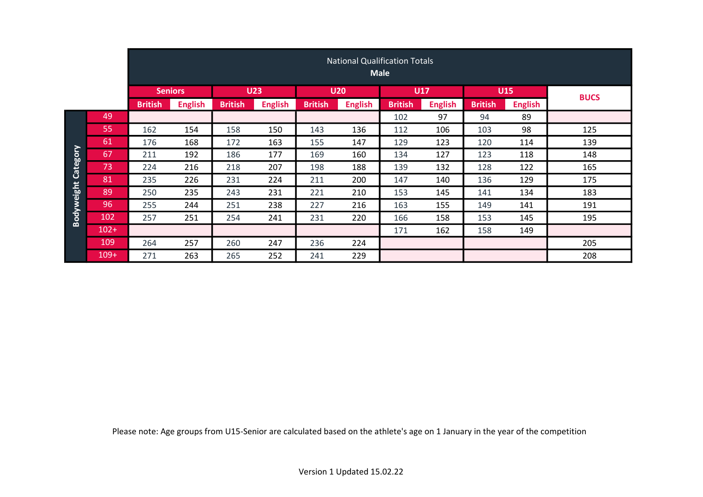|                   |         | <b>Seniors</b> |                | <b>U23</b>     |                | <b>U20</b>     |                | <b>U17</b>     |                |                | <b>U15</b>     | <b>BUCS</b> |
|-------------------|---------|----------------|----------------|----------------|----------------|----------------|----------------|----------------|----------------|----------------|----------------|-------------|
|                   |         | <b>British</b> | <b>English</b> | <b>British</b> | <b>English</b> | <b>British</b> | <b>English</b> | <b>British</b> | <b>English</b> | <b>British</b> | <b>English</b> |             |
|                   | 49      |                |                |                |                |                |                | 102            | 97             | 94             | 89             |             |
|                   | 55      | 162            | 154            | 158            | 150            | 143            | 136            | 112            | 106            | 103            | 98             | 125         |
|                   | 61      | 176            | 168            | 172            | 163            | 155            | 147            | 129            | 123            | 120            | 114            | 139         |
| Category          | 67      | 211            | 192            | 186            | 177            | 169            | 160            | 134            | 127            | 123            | 118            | 148         |
|                   | 73      | 224            | 216            | 218            | 207            | 198            | 188            | 139            | 132            | 128            | 122            | 165         |
|                   | 81      | 235            | 226            | 231            | 224            | 211            | 200            | 147            | 140            | 136            | 129            | 175         |
| <b>Bodyweight</b> | 89      | 250            | 235            | 243            | 231            | 221            | 210            | 153            | 145            | 141            | 134            | 183         |
|                   | 96      | 255            | 244            | 251            | 238            | 227            | 216            | 163            | 155            | 149            | 141            | 191         |
|                   | 102     | 257            | 251            | 254            | 241            | 231            | 220            | 166            | 158            | 153            | 145            | 195         |
|                   | $102 +$ |                |                |                |                |                |                | 171            | 162            | 158            | 149            |             |
|                   | 109     | 264            | 257            | 260            | 247            | 236            | 224            |                |                |                |                | 205         |
|                   | $109+$  | 271            | 263            | 265            | 252            | 241            | 229            |                |                |                |                | 208         |

Please note: Age groups from U15-Senior are calculated based on the athlete's age on 1 January in the year of the competition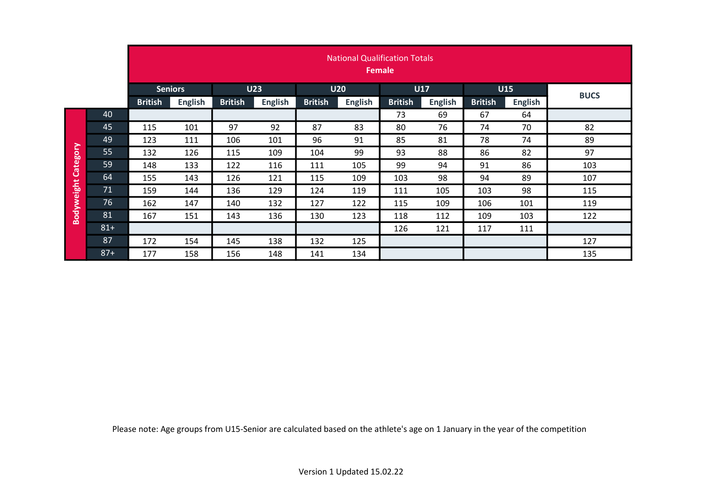|                   |       |                                  | <b>National Qualification Totals</b><br><b>Female</b> |                                  |            |                |                |            |                                  |            |                |             |  |  |  |  |  |
|-------------------|-------|----------------------------------|-------------------------------------------------------|----------------------------------|------------|----------------|----------------|------------|----------------------------------|------------|----------------|-------------|--|--|--|--|--|
|                   |       | <b>Seniors</b>                   |                                                       |                                  | <b>U23</b> |                | <b>U20</b>     | <b>U17</b> |                                  | <b>U15</b> |                | <b>BUCS</b> |  |  |  |  |  |
|                   |       | <b>British</b><br><b>English</b> |                                                       | <b>British</b><br><b>English</b> |            | <b>British</b> | <b>English</b> |            | <b>British</b><br><b>English</b> |            | <b>English</b> |             |  |  |  |  |  |
|                   | 40    |                                  |                                                       |                                  |            |                |                | 73         | 69                               | 67         | 64             |             |  |  |  |  |  |
|                   | 45    | 115                              | 101                                                   | 97                               | 92         | 87             | 83             | 80         | 76                               | 74         | 70             | 82          |  |  |  |  |  |
|                   | 49    | 123                              | 111                                                   | 106                              | 101        | 96             | 91             | 85         | 81                               | 78         | 74             | 89          |  |  |  |  |  |
| Category          | 55    | 132                              | 126                                                   | 115                              | 109        | 104            | 99             | 93         | 88                               | 86         | 82             | 97          |  |  |  |  |  |
|                   | 59    | 148                              | 133                                                   | 122                              | 116        | 111            | 105            | 99         | 94                               | 91         | 86             | 103         |  |  |  |  |  |
|                   | 64    | 155                              | 143                                                   | 126                              | 121        | 115            | 109            | 103        | 98                               | 94         | 89             | 107         |  |  |  |  |  |
| <b>Bodyweight</b> | 71    | 159                              | 144                                                   | 136                              | 129        | 124            | 119            | 111        | 105                              | 103        | 98             | 115         |  |  |  |  |  |
|                   | 76    | 162                              | 147                                                   | 140                              | 132        | 127            | 122            | 115        | 109                              | 106        | 101            | 119         |  |  |  |  |  |
|                   | 81    | 167                              | 151                                                   | 143                              | 136        | 130            | 123            | 118        | 112                              | 109        | 103            | 122         |  |  |  |  |  |
|                   | $81+$ |                                  |                                                       |                                  |            |                |                | 126        | 121                              | 117        | 111            |             |  |  |  |  |  |
|                   | 87    | 172                              | 154                                                   | 145                              | 138        | 132            | 125            |            |                                  |            |                | 127         |  |  |  |  |  |
|                   | $87+$ | 177                              | 158                                                   | 156                              | 148        | 141            | 134            |            |                                  |            |                | 135         |  |  |  |  |  |

Please note: Age groups from U15-Senior are calculated based on the athlete's age on 1 January in the year of the competition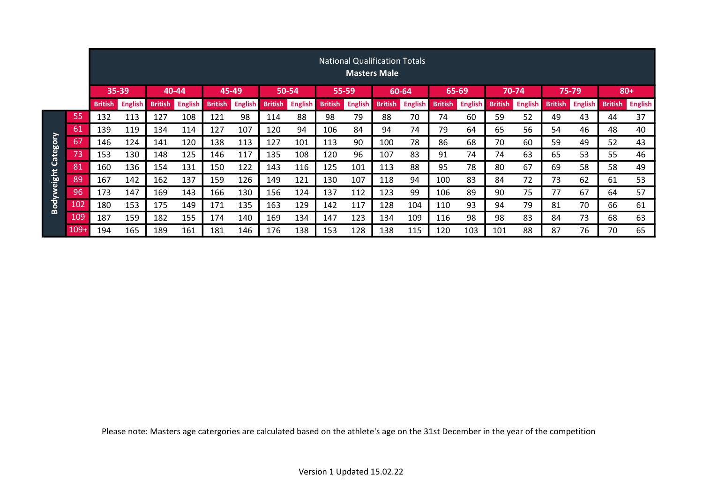|           |        | <b>National Qualification Totals</b><br><b>Masters Male</b> |                |                |                |                |                |                |                |                |                |                |                |                |                |                |                |                |                |                |                |
|-----------|--------|-------------------------------------------------------------|----------------|----------------|----------------|----------------|----------------|----------------|----------------|----------------|----------------|----------------|----------------|----------------|----------------|----------------|----------------|----------------|----------------|----------------|----------------|
|           |        | 35-39<br>40-44                                              |                |                |                | 45-49          |                | 50-54          |                | 55-59          |                | 60-64          |                | 65-69          |                | 70-74          |                | 75-79          |                | $80+$          |                |
|           |        | <b>British</b>                                              | <b>English</b> | <b>British</b> | <b>English</b> | <b>British</b> | <b>English</b> | <b>British</b> | <b>English</b> | <b>British</b> | <b>English</b> | <b>British</b> | <b>English</b> | <b>British</b> | <b>English</b> | <b>British</b> | <b>English</b> | <b>British</b> | <b>English</b> | <b>British</b> | <b>English</b> |
|           | 55     | 132                                                         | 113            | 127            | 108            | 121            | 98             | 114            | 88             | 98             | 79             | 88             | 70             | 74             | 60             | 59             | 52             | 49             | 43             | 44             | 37             |
|           | 61     | 139                                                         | 119            | 134            | 114            | 127            | 107            | 120            | 94             | 106            | 84             | 94             | 74             | 79             | 64             | 65             | 56             | 54             | 46             | 48             | 40             |
| Category  | 67     | 146                                                         | 124            | 141            | 120            | 138            | 113            | 127            | 101            | 113            | 90             | 100            | 78             | 86             | 68             | 70             | 60             | 59             | 49             | 52             | 43             |
|           | 73     | 153                                                         | 130            | 148            | 125            | 146            | 117            | 135            | 108            | 120            | 96             | 107            | 83             | 91             | 74             | 74             | 63             | 65             | 53             | 55             | 46             |
|           | 81     | 160                                                         | 136            | 154            | 131            | 150            | 122            | 143            | 116            | 125            | 101            | 113            | 88             | 95             | 78             | 80             | 67             | 69             | 58             | 58             | 49             |
| odyweight | 89     | 167                                                         | 142            | 162            | 137            | 159            | 126            | 149            | 121            | 130            | 107            | 118            | 94             | 100            | 83             | 84             | 72             | 73             | 62             | 61             | 53             |
|           | 96     | 173                                                         | 147            | 169            | 143            | 166            | 130            | 156            | 124            | 137            | 112            | 123            | 99             | 106            | 89             | 90             | 75             | 77             | 67             | 64             | 57             |
| m         | 102    | 180                                                         | 153            | 175            | 149            | 171            | 135            | 163            | 129            | 142            | 117            | 128            | 104            | 110            | 93             | 94             | 79             | 81             | 70             | 66             | 61             |
|           | 109    | 187                                                         | 159            | 182            | 155            | 174            | 140            | 169            | 134            | 147            | 123            | 134            | 109            | 116            | 98             | 98             | 83             | 84             | 73             | 68             | 63             |
|           | $109+$ | 194                                                         | 165            | 189            | 161            | 181            | 146            | 176            | 138            | 153            | 128            | 138            | 115            | 120            | 103            | 101            | 88             | 87             | 76             | 70             | 65             |

Please note: Masters age catergories are calculated based on the athlete's age on the 31st December in the year of the competition